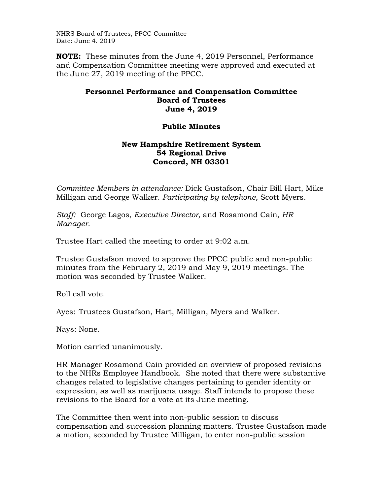NHRS Board of Trustees, PPCC Committee Date: June 4. 2019

**NOTE:** These minutes from the June 4, 2019 Personnel, Performance and Compensation Committee meeting were approved and executed at the June 27, 2019 meeting of the PPCC.

## **Personnel Performance and Compensation Committee Board of Trustees June 4, 2019**

## **Public Minutes**

## **New Hampshire Retirement System 54 Regional Drive Concord, NH 03301**

*Committee Members in attendance:* Dick Gustafson, Chair Bill Hart, Mike Milligan and George Walker. *Participating by telephone,* Scott Myers.

*Staff:* George Lagos, *Executive Director,* and Rosamond Cain*, HR Manager.* 

Trustee Hart called the meeting to order at 9:02 a.m.

Trustee Gustafson moved to approve the PPCC public and non-public minutes from the February 2, 2019 and May 9, 2019 meetings. The motion was seconded by Trustee Walker.

Roll call vote.

Ayes: Trustees Gustafson, Hart, Milligan, Myers and Walker.

Nays: None.

Motion carried unanimously.

HR Manager Rosamond Cain provided an overview of proposed revisions to the NHRs Employee Handbook. She noted that there were substantive changes related to legislative changes pertaining to gender identity or expression, as well as marijuana usage. Staff intends to propose these revisions to the Board for a vote at its June meeting.

The Committee then went into non-public session to discuss compensation and succession planning matters. Trustee Gustafson made a motion, seconded by Trustee Milligan, to enter non-public session